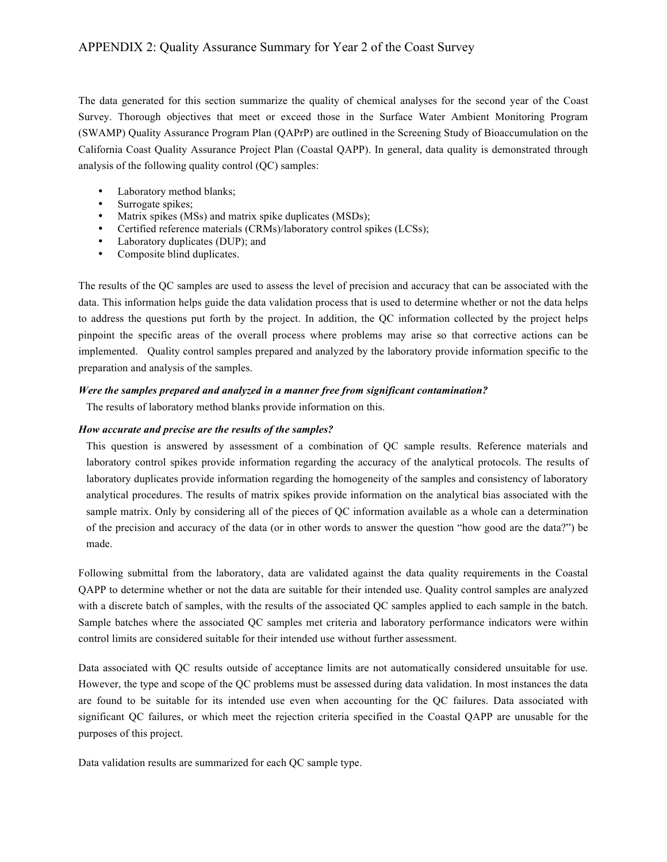The data generated for this section summarize the quality of chemical analyses for the second year of the Coast Survey. Thorough objectives that meet or exceed those in the Surface Water Ambient Monitoring Program (SWAMP) Quality Assurance Program Plan (QAPrP) are outlined in the Screening Study of Bioaccumulation on the California Coast Quality Assurance Project Plan (Coastal QAPP). In general, data quality is demonstrated through analysis of the following quality control (QC) samples:

- Laboratory method blanks;
- Surrogate spikes;
- Matrix spikes (MSs) and matrix spike duplicates (MSDs);
- Certified reference materials (CRMs)/laboratory control spikes (LCSs);
- Laboratory duplicates (DUP); and<br>• Composite blind duplicates.
- Composite blind duplicates.

The results of the QC samples are used to assess the level of precision and accuracy that can be associated with the data. This information helps guide the data validation process that is used to determine whether or not the data helps to address the questions put forth by the project. In addition, the QC information collected by the project helps pinpoint the specific areas of the overall process where problems may arise so that corrective actions can be implemented. Quality control samples prepared and analyzed by the laboratory provide information specific to the preparation and analysis of the samples.

## *Were the samples prepared and analyzed in a manner free from significant contamination?*

The results of laboratory method blanks provide information on this.

#### *How accurate and precise are the results of the samples?*

This question is answered by assessment of a combination of QC sample results. Reference materials and laboratory control spikes provide information regarding the accuracy of the analytical protocols. The results of laboratory duplicates provide information regarding the homogeneity of the samples and consistency of laboratory analytical procedures. The results of matrix spikes provide information on the analytical bias associated with the sample matrix. Only by considering all of the pieces of QC information available as a whole can a determination of the precision and accuracy of the data (or in other words to answer the question "how good are the data?") be made.

Following submittal from the laboratory, data are validated against the data quality requirements in the Coastal QAPP to determine whether or not the data are suitable for their intended use. Quality control samples are analyzed with a discrete batch of samples, with the results of the associated QC samples applied to each sample in the batch. Sample batches where the associated QC samples met criteria and laboratory performance indicators were within control limits are considered suitable for their intended use without further assessment.

Data associated with QC results outside of acceptance limits are not automatically considered unsuitable for use. However, the type and scope of the QC problems must be assessed during data validation. In most instances the data are found to be suitable for its intended use even when accounting for the QC failures. Data associated with significant QC failures, or which meet the rejection criteria specified in the Coastal QAPP are unusable for the purposes of this project.

Data validation results are summarized for each QC sample type.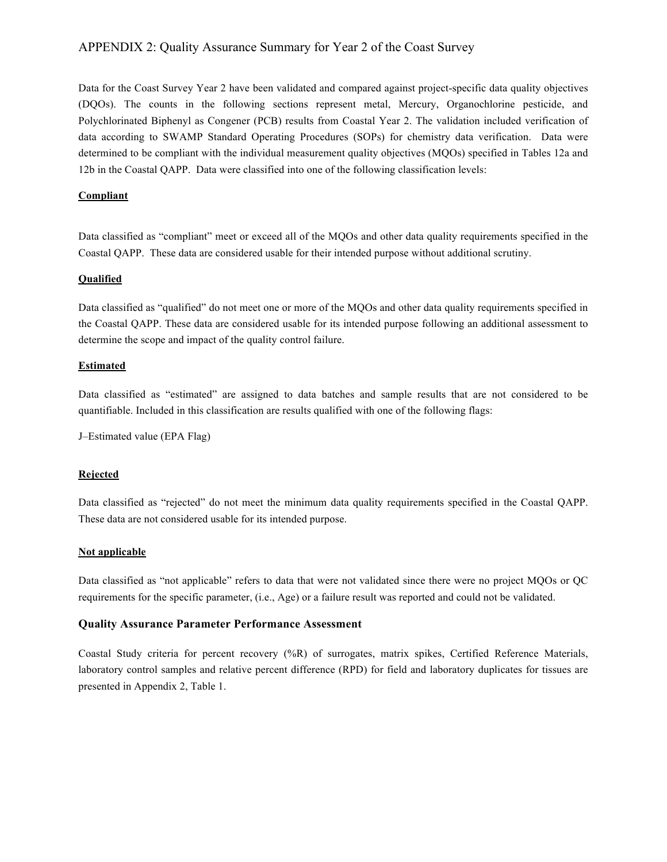Data for the Coast Survey Year 2 have been validated and compared against project-specific data quality objectives (DQOs). The counts in the following sections represent metal, Mercury, Organochlorine pesticide, and Polychlorinated Biphenyl as Congener (PCB) results from Coastal Year 2. The validation included verification of data according to SWAMP Standard Operating Procedures (SOPs) for chemistry data verification. Data were determined to be compliant with the individual measurement quality objectives (MQOs) specified in Tables 12a and 12b in the Coastal QAPP. Data were classified into one of the following classification levels:

# **Compliant**

Data classified as "compliant" meet or exceed all of the MQOs and other data quality requirements specified in the Coastal QAPP. These data are considered usable for their intended purpose without additional scrutiny.

## **Qualified**

Data classified as "qualified" do not meet one or more of the MQOs and other data quality requirements specified in the Coastal QAPP. These data are considered usable for its intended purpose following an additional assessment to determine the scope and impact of the quality control failure.

# **Estimated**

Data classified as "estimated" are assigned to data batches and sample results that are not considered to be quantifiable. Included in this classification are results qualified with one of the following flags:

J–Estimated value (EPA Flag)

## **Rejected**

Data classified as "rejected" do not meet the minimum data quality requirements specified in the Coastal QAPP. These data are not considered usable for its intended purpose.

## **Not applicable**

Data classified as "not applicable" refers to data that were not validated since there were no project MQOs or QC requirements for the specific parameter, (i.e., Age) or a failure result was reported and could not be validated.

## **Quality Assurance Parameter Performance Assessment**

Coastal Study criteria for percent recovery (%R) of surrogates, matrix spikes, Certified Reference Materials, laboratory control samples and relative percent difference (RPD) for field and laboratory duplicates for tissues are presented in Appendix 2, Table 1.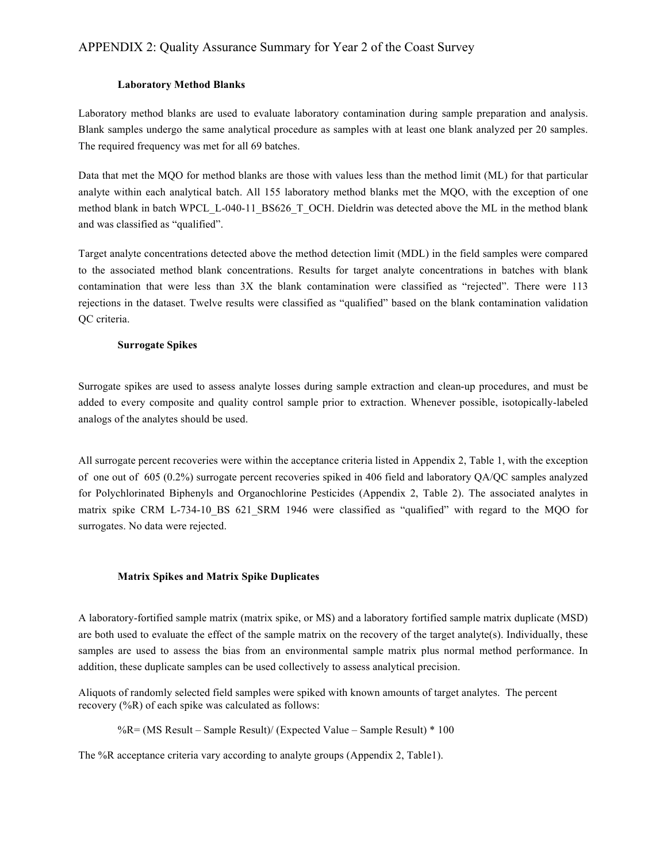## **Laboratory Method Blanks**

Laboratory method blanks are used to evaluate laboratory contamination during sample preparation and analysis. Blank samples undergo the same analytical procedure as samples with at least one blank analyzed per 20 samples. The required frequency was met for all 69 batches.

Data that met the MQO for method blanks are those with values less than the method limit (ML) for that particular analyte within each analytical batch. All 155 laboratory method blanks met the MQO, with the exception of one method blank in batch WPCL\_L-040-11\_BS626\_T\_OCH. Dieldrin was detected above the ML in the method blank and was classified as "qualified".

Target analyte concentrations detected above the method detection limit (MDL) in the field samples were compared to the associated method blank concentrations. Results for target analyte concentrations in batches with blank contamination that were less than 3X the blank contamination were classified as "rejected". There were 113 rejections in the dataset. Twelve results were classified as "qualified" based on the blank contamination validation QC criteria.

#### **Surrogate Spikes**

Surrogate spikes are used to assess analyte losses during sample extraction and clean-up procedures, and must be added to every composite and quality control sample prior to extraction. Whenever possible, isotopically-labeled analogs of the analytes should be used.

All surrogate percent recoveries were within the acceptance criteria listed in Appendix 2, Table 1, with the exception of one out of 605 (0.2%) surrogate percent recoveries spiked in 406 field and laboratory QA/QC samples analyzed for Polychlorinated Biphenyls and Organochlorine Pesticides (Appendix 2, Table 2). The associated analytes in matrix spike CRM L-734-10 BS 621 SRM 1946 were classified as "qualified" with regard to the MQO for surrogates. No data were rejected.

## **Matrix Spikes and Matrix Spike Duplicates**

A laboratory-fortified sample matrix (matrix spike, or MS) and a laboratory fortified sample matrix duplicate (MSD) are both used to evaluate the effect of the sample matrix on the recovery of the target analyte(s). Individually, these samples are used to assess the bias from an environmental sample matrix plus normal method performance. In addition, these duplicate samples can be used collectively to assess analytical precision.

Aliquots of randomly selected field samples were spiked with known amounts of target analytes. The percent recovery (%R) of each spike was calculated as follows:

%R= (MS Result – Sample Result)/ (Expected Value – Sample Result) \* 100

The %R acceptance criteria vary according to analyte groups (Appendix 2, Table1).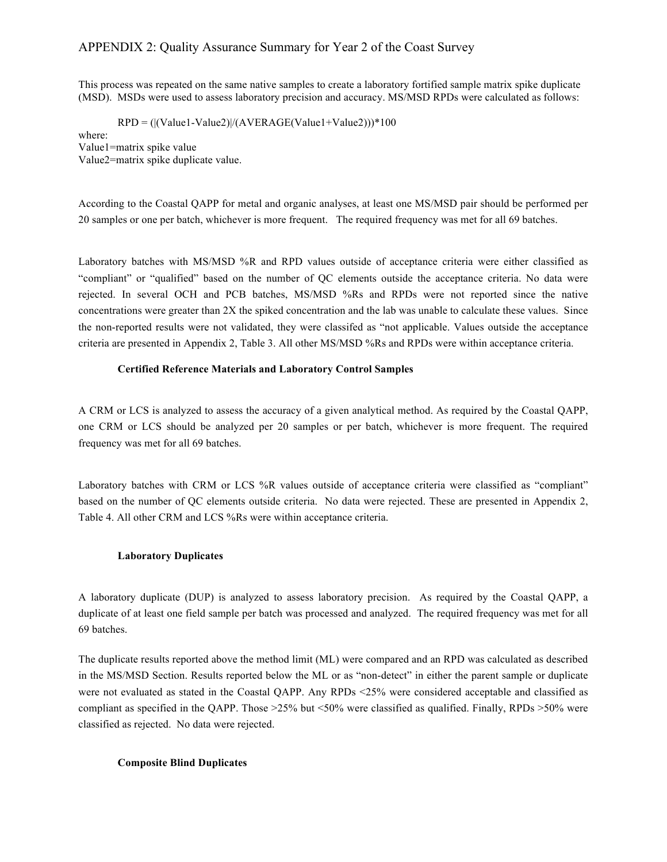This process was repeated on the same native samples to create a laboratory fortified sample matrix spike duplicate (MSD). MSDs were used to assess laboratory precision and accuracy. MS/MSD RPDs were calculated as follows:

 $RPD = (|\text{Value1-Value2}|/(\text{AVERAGE}(\text{Value1+Value2})) \cdot 100$ 

where: Value1=matrix spike value Value2=matrix spike duplicate value.

According to the Coastal QAPP for metal and organic analyses, at least one MS/MSD pair should be performed per 20 samples or one per batch, whichever is more frequent. The required frequency was met for all 69 batches.

Laboratory batches with MS/MSD %R and RPD values outside of acceptance criteria were either classified as "compliant" or "qualified" based on the number of QC elements outside the acceptance criteria. No data were rejected. In several OCH and PCB batches, MS/MSD %Rs and RPDs were not reported since the native concentrations were greater than 2X the spiked concentration and the lab was unable to calculate these values. Since the non-reported results were not validated, they were classifed as "not applicable. Values outside the acceptance criteria are presented in Appendix 2, Table 3. All other MS/MSD %Rs and RPDs were within acceptance criteria.

#### **Certified Reference Materials and Laboratory Control Samples**

A CRM or LCS is analyzed to assess the accuracy of a given analytical method. As required by the Coastal QAPP, one CRM or LCS should be analyzed per 20 samples or per batch, whichever is more frequent. The required frequency was met for all 69 batches.

Laboratory batches with CRM or LCS %R values outside of acceptance criteria were classified as "compliant" based on the number of QC elements outside criteria. No data were rejected. These are presented in Appendix 2, Table 4. All other CRM and LCS %Rs were within acceptance criteria.

#### **Laboratory Duplicates**

A laboratory duplicate (DUP) is analyzed to assess laboratory precision. As required by the Coastal QAPP, a duplicate of at least one field sample per batch was processed and analyzed. The required frequency was met for all 69 batches.

The duplicate results reported above the method limit (ML) were compared and an RPD was calculated as described in the MS/MSD Section. Results reported below the ML or as "non-detect" in either the parent sample or duplicate were not evaluated as stated in the Coastal QAPP. Any RPDs <25% were considered acceptable and classified as compliant as specified in the QAPP. Those >25% but <50% were classified as qualified. Finally, RPDs >50% were classified as rejected. No data were rejected.

#### **Composite Blind Duplicates**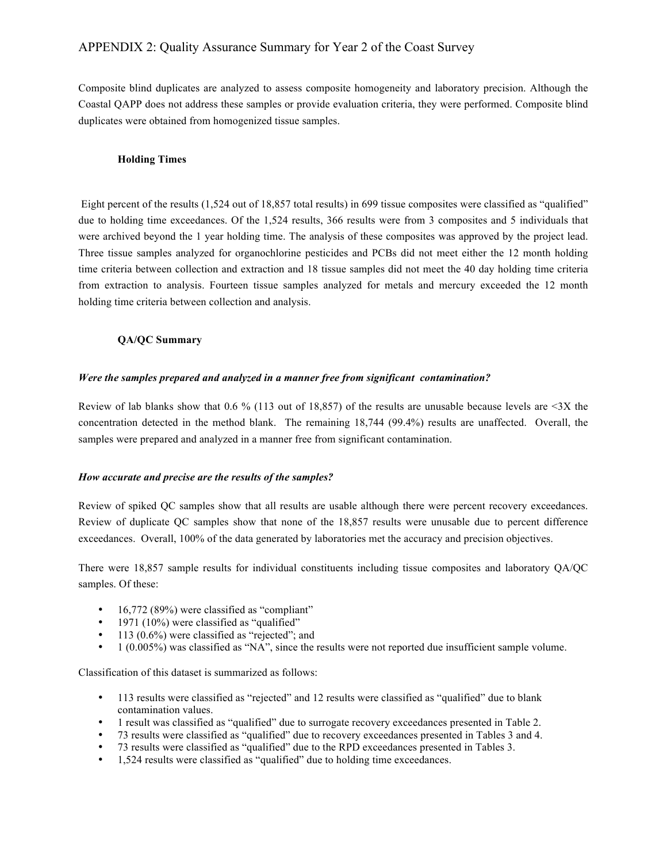Composite blind duplicates are analyzed to assess composite homogeneity and laboratory precision. Although the Coastal QAPP does not address these samples or provide evaluation criteria, they were performed. Composite blind duplicates were obtained from homogenized tissue samples.

#### **Holding Times**

 Eight percent of the results (1,524 out of 18,857 total results) in 699 tissue composites were classified as "qualified" due to holding time exceedances. Of the 1,524 results, 366 results were from 3 composites and 5 individuals that were archived beyond the 1 year holding time. The analysis of these composites was approved by the project lead. Three tissue samples analyzed for organochlorine pesticides and PCBs did not meet either the 12 month holding time criteria between collection and extraction and 18 tissue samples did not meet the 40 day holding time criteria from extraction to analysis. Fourteen tissue samples analyzed for metals and mercury exceeded the 12 month holding time criteria between collection and analysis.

## **QA/QC Summary**

#### *Were the samples prepared and analyzed in a manner free from significant contamination?*

Review of lab blanks show that 0.6 % (113 out of 18,857) of the results are unusable because levels are  $\leq$ 3X the concentration detected in the method blank. The remaining 18,744 (99.4%) results are unaffected. Overall, the samples were prepared and analyzed in a manner free from significant contamination.

## *How accurate and precise are the results of the samples?*

Review of spiked QC samples show that all results are usable although there were percent recovery exceedances. Review of duplicate QC samples show that none of the 18,857 results were unusable due to percent difference exceedances. Overall, 100% of the data generated by laboratories met the accuracy and precision objectives.

There were 18,857 sample results for individual constituents including tissue composites and laboratory QA/QC samples. Of these:

- 16,772 (89%) were classified as "compliant"
- 1971 (10%) were classified as "qualified"
- 113 (0.6%) were classified as "rejected"; and<br>• 1 (0.005%) was classified as "NA", since the
- 1 (0.005%) was classified as "NA", since the results were not reported due insufficient sample volume.

Classification of this dataset is summarized as follows:

- 113 results were classified as "rejected" and 12 results were classified as "qualified" due to blank contamination values.
- 1 result was classified as "qualified" due to surrogate recovery exceedances presented in Table 2.
- 73 results were classified as "qualified" due to recovery exceedances presented in Tables 3 and 4.
- 73 results were classified as "qualified" due to the RPD exceedances presented in Tables 3.
- 1,524 results were classified as "qualified" due to holding time exceedances.